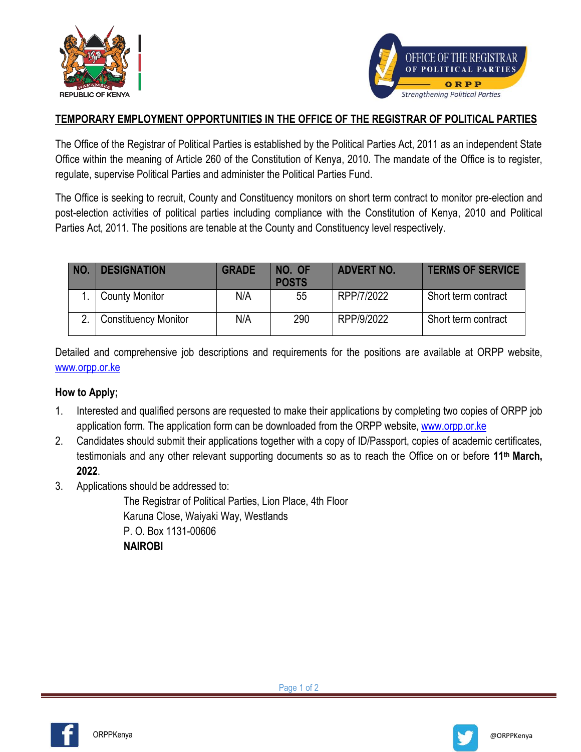



### **TEMPORARY EMPLOYMENT OPPORTUNITIES IN THE OFFICE OF THE REGISTRAR OF POLITICAL PARTIES**

The Office of the Registrar of Political Parties is established by the Political Parties Act, 2011 as an independent State Office within the meaning of Article 260 of the Constitution of Kenya, 2010. The mandate of the Office is to register, regulate, supervise Political Parties and administer the Political Parties Fund.

The Office is seeking to recruit, County and Constituency monitors on short term contract to monitor pre-election and post-election activities of political parties including compliance with the Constitution of Kenya, 2010 and Political Parties Act, 2011. The positions are tenable at the County and Constituency level respectively.

| NO. | <b>DESIGNATION</b>          | <b>GRADE</b> | NO. OF<br><b>POSTS</b> | <b>ADVERT NO.</b> | <b>TERMS OF SERVICE</b> |
|-----|-----------------------------|--------------|------------------------|-------------------|-------------------------|
|     | <b>County Monitor</b>       | N/A          | 55                     | RPP/7/2022        | Short term contract     |
|     | <b>Constituency Monitor</b> | N/A          | 290                    | RPP/9/2022        | Short term contract     |

Detailed and comprehensive job descriptions and requirements for the positions are available at ORPP website, [www.orpp.or.ke](http://www.orpp.or.ke/)

#### **How to Apply;**

- 1. Interested and qualified persons are requested to make their applications by completing two copies of ORPP job application form. The application form can be downloaded from the ORPP website, [www.orpp.or.ke](http://www.orpp.or.ke/)
- 2. Candidates should submit their applications together with a copy of ID/Passport, copies of academic certificates, testimonials and any other relevant supporting documents so as to reach the Office on or before **11 th March, 2022**.
- 3. Applications should be addressed to:

The Registrar of Political Parties, Lion Place, 4th Floor Karuna Close, Waiyaki Way, Westlands P. O. Box 1131-00606 **NAIROBI**